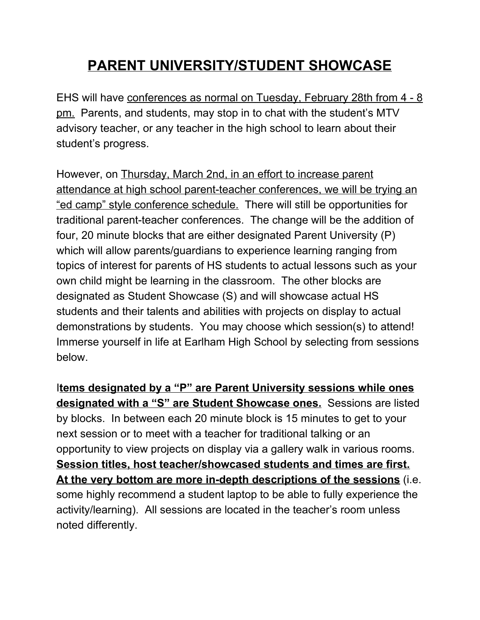# **PARENT UNIVERSITY/STUDENT SHOWCASE**

EHS will have conferences as normal on Tuesday, February 28th from 4 - 8 pm. Parents, and students, may stop in to chat with the student's MTV advisory teacher, or any teacher in the high school to learn about their student's progress.

However, on Thursday, March 2nd, in an effort to increase parent attendance at high school parent-teacher conferences, we will be trying an "ed camp" style conference schedule. There will still be opportunities for traditional parent-teacher conferences. The change will be the addition of four, 20 minute blocks that are either designated Parent University (P) which will allow parents/guardians to experience learning ranging from topics of interest for parents of HS students to actual lessons such as your own child might be learning in the classroom. The other blocks are designated as Student Showcase (S) and will showcase actual HS students and their talents and abilities with projects on display to actual demonstrations by students. You may choose which session(s) to attend! Immerse yourself in life at Earlham High School by selecting from sessions below.

I**tems designated by a "P" are Parent University sessions while ones designated with a "S" are Student Showcase ones.** Sessions are listed by blocks. In between each 20 minute block is 15 minutes to get to your next session or to meet with a teacher for traditional talking or an opportunity to view projects on display via a gallery walk in various rooms. **Session titles, host teacher/showcased students and times are first. At the very bottom are more in-depth descriptions of the sessions** (i.e. some highly recommend a student laptop to be able to fully experience the activity/learning). All sessions are located in the teacher's room unless noted differently.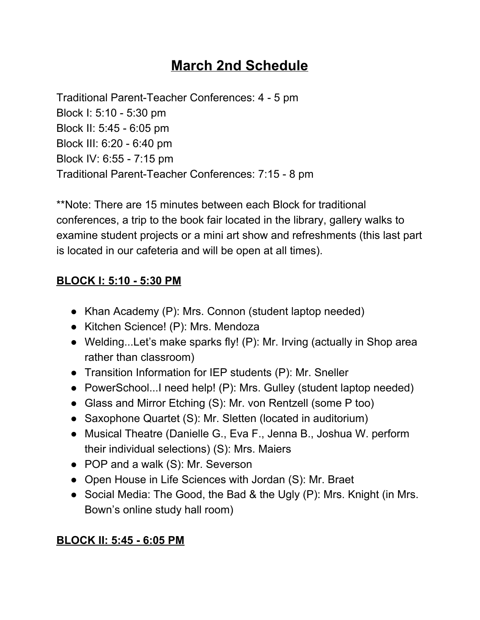## **March 2nd Schedule**

Traditional Parent-Teacher Conferences: 4 - 5 pm Block I: 5:10 - 5:30 pm Block II: 5:45 - 6:05 pm Block III: 6:20 - 6:40 pm Block IV: 6:55 - 7:15 pm Traditional Parent-Teacher Conferences: 7:15 - 8 pm

\*\*Note: There are 15 minutes between each Block for traditional conferences, a trip to the book fair located in the library, gallery walks to examine student projects or a mini art show and refreshments (this last part is located in our cafeteria and will be open at all times).

#### **BLOCK I: 5:10 - 5:30 PM**

- Khan Academy (P): Mrs. Connon (student laptop needed)
- Kitchen Science! (P): Mrs. Mendoza
- Welding...Let's make sparks fly! (P): Mr. Irving (actually in Shop area rather than classroom)
- Transition Information for IEP students (P): Mr. Sneller
- PowerSchool...I need help! (P): Mrs. Gulley (student laptop needed)
- Glass and Mirror Etching (S): Mr. von Rentzell (some P too)
- Saxophone Quartet (S): Mr. Sletten (located in auditorium)
- Musical Theatre (Danielle G., Eva F., Jenna B., Joshua W. perform their individual selections) (S): Mrs. Maiers
- POP and a walk (S): Mr. Severson
- Open House in Life Sciences with Jordan (S): Mr. Braet
- Social Media: The Good, the Bad & the Ugly (P): Mrs. Knight (in Mrs. Bown's online study hall room)

#### **BLOCK II: 5:45 - 6:05 PM**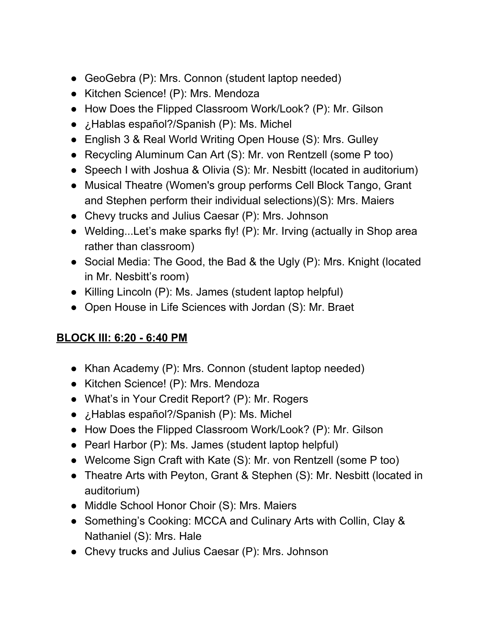- GeoGebra (P): Mrs. Connon (student laptop needed)
- Kitchen Science! (P): Mrs. Mendoza
- How Does the Flipped Classroom Work/Look? (P): Mr. Gilson
- ¿Hablas español?/Spanish (P): Ms. Michel
- English 3 & Real World Writing Open House (S): Mrs. Gulley
- Recycling Aluminum Can Art (S): Mr. von Rentzell (some P too)
- Speech I with Joshua & Olivia (S): Mr. Nesbitt (located in auditorium)
- Musical Theatre (Women's group performs Cell Block Tango, Grant and Stephen perform their individual selections)(S): Mrs. Maiers
- Chevy trucks and Julius Caesar (P): Mrs. Johnson
- Welding...Let's make sparks fly! (P): Mr. Irving (actually in Shop area rather than classroom)
- Social Media: The Good, the Bad & the Ugly (P): Mrs. Knight (located in Mr. Nesbitt's room)
- Killing Lincoln (P): Ms. James (student laptop helpful)
- Open House in Life Sciences with Jordan (S): Mr. Braet

#### **BLOCK III: 6:20 - 6:40 PM**

- Khan Academy (P): Mrs. Connon (student laptop needed)
- Kitchen Science! (P): Mrs. Mendoza
- What's in Your Credit Report? (P): Mr. Rogers
- ¿Hablas español?/Spanish (P): Ms. Michel
- How Does the Flipped Classroom Work/Look? (P): Mr. Gilson
- Pearl Harbor (P): Ms. James (student laptop helpful)
- Welcome Sign Craft with Kate (S): Mr. von Rentzell (some P too)
- Theatre Arts with Peyton, Grant & Stephen (S): Mr. Nesbitt (located in auditorium)
- Middle School Honor Choir (S): Mrs. Maiers
- Something's Cooking: MCCA and Culinary Arts with Collin, Clay & Nathaniel (S): Mrs. Hale
- Chevy trucks and Julius Caesar (P): Mrs. Johnson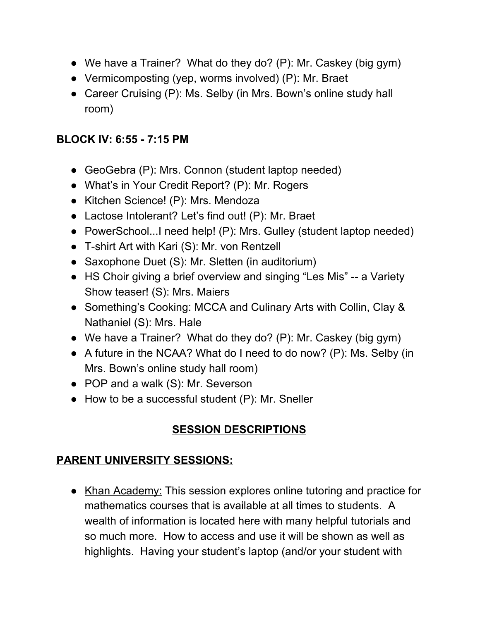- We have a Trainer? What do they do? (P): Mr. Caskey (big gym)
- Vermicomposting (yep, worms involved) (P): Mr. Braet
- Career Cruising (P): Ms. Selby (in Mrs. Bown's online study hall room)

#### **BLOCK IV: 6:55 - 7:15 PM**

- GeoGebra (P): Mrs. Connon (student laptop needed)
- What's in Your Credit Report? (P): Mr. Rogers
- Kitchen Science! (P): Mrs. Mendoza
- Lactose Intolerant? Let's find out! (P): Mr. Braet
- PowerSchool...I need help! (P): Mrs. Gulley (student laptop needed)
- T-shirt Art with Kari (S): Mr. von Rentzell
- Saxophone Duet (S): Mr. Sletten (in auditorium)
- HS Choir giving a brief overview and singing "Les Mis" -- a Variety Show teaser! (S): Mrs. Maiers
- Something's Cooking: MCCA and Culinary Arts with Collin, Clay & Nathaniel (S): Mrs. Hale
- We have a Trainer? What do they do? (P): Mr. Caskey (big gym)
- A future in the NCAA? What do I need to do now? (P): Ms. Selby (in Mrs. Bown's online study hall room)
- POP and a walk (S): Mr. Severson
- How to be a successful student (P): Mr. Sneller

### **SESSION DESCRIPTIONS**

#### **PARENT UNIVERSITY SESSIONS:**

● Khan Academy: This session explores online tutoring and practice for mathematics courses that is available at all times to students. A wealth of information is located here with many helpful tutorials and so much more. How to access and use it will be shown as well as highlights. Having your student's laptop (and/or your student with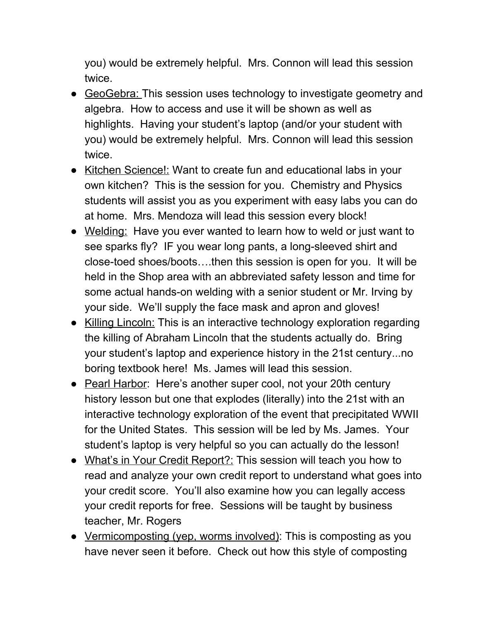you) would be extremely helpful. Mrs. Connon will lead this session twice.

- GeoGebra: This session uses technology to investigate geometry and algebra. How to access and use it will be shown as well as highlights. Having your student's laptop (and/or your student with you) would be extremely helpful. Mrs. Connon will lead this session twice.
- Kitchen Science!: Want to create fun and educational labs in your own kitchen? This is the session for you. Chemistry and Physics students will assist you as you experiment with easy labs you can do at home. Mrs. Mendoza will lead this session every block!
- Welding: Have you ever wanted to learn how to weld or just want to see sparks fly? IF you wear long pants, a long-sleeved shirt and close-toed shoes/boots….then this session is open for you. It will be held in the Shop area with an abbreviated safety lesson and time for some actual hands-on welding with a senior student or Mr. Irving by your side. We'll supply the face mask and apron and gloves!
- Killing Lincoln: This is an interactive technology exploration regarding the killing of Abraham Lincoln that the students actually do. Bring your student's laptop and experience history in the 21st century...no boring textbook here! Ms. James will lead this session.
- Pearl Harbor: Here's another super cool, not your 20th century history lesson but one that explodes (literally) into the 21st with an interactive technology exploration of the event that precipitated WWII for the United States. This session will be led by Ms. James. Your student's laptop is very helpful so you can actually do the lesson!
- What's in Your Credit Report?: This session will teach you how to read and analyze your own credit report to understand what goes into your credit score. You'll also examine how you can legally access your credit reports for free. Sessions will be taught by business teacher, Mr. Rogers
- Vermicomposting (yep, worms involved): This is composting as you have never seen it before. Check out how this style of composting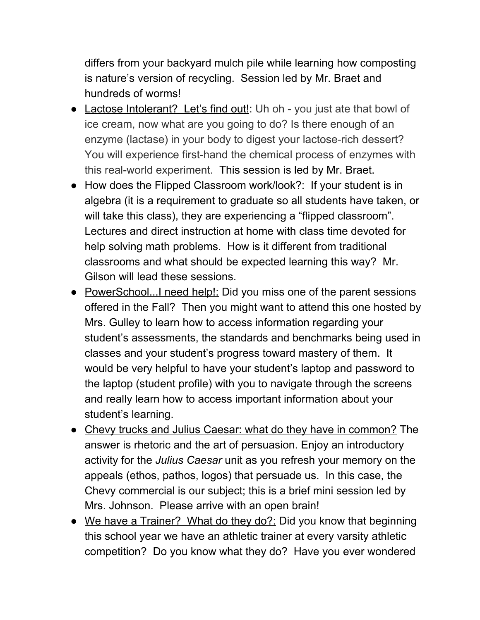differs from your backyard mulch pile while learning how composting is nature's version of recycling. Session led by Mr. Braet and hundreds of worms!

- Lactose Intolerant? Let's find out!: Uh oh you just ate that bowl of ice cream, now what are you going to do? Is there enough of an enzyme (lactase) in your body to digest your lactose-rich dessert? You will experience first-hand the chemical process of enzymes with this real-world experiment. This session is led by Mr. Braet.
- How does the Flipped Classroom work/look?: If your student is in algebra (it is a requirement to graduate so all students have taken, or will take this class), they are experiencing a "flipped classroom". Lectures and direct instruction at home with class time devoted for help solving math problems. How is it different from traditional classrooms and what should be expected learning this way? Mr. Gilson will lead these sessions.
- PowerSchool...I need help!: Did you miss one of the parent sessions offered in the Fall? Then you might want to attend this one hosted by Mrs. Gulley to learn how to access information regarding your student's assessments, the standards and benchmarks being used in classes and your student's progress toward mastery of them. It would be very helpful to have your student's laptop and password to the laptop (student profile) with you to navigate through the screens and really learn how to access important information about your student's learning.
- Chevy trucks and Julius Caesar: what do they have in common? The answer is rhetoric and the art of persuasion. Enjoy an introductory activity for the *Julius Caesar* unit as you refresh your memory on the appeals (ethos, pathos, logos) that persuade us. In this case, the Chevy commercial is our subject; this is a brief mini session led by Mrs. Johnson. Please arrive with an open brain!
- We have a Trainer? What do they do?: Did you know that beginning this school year we have an athletic trainer at every varsity athletic competition? Do you know what they do? Have you ever wondered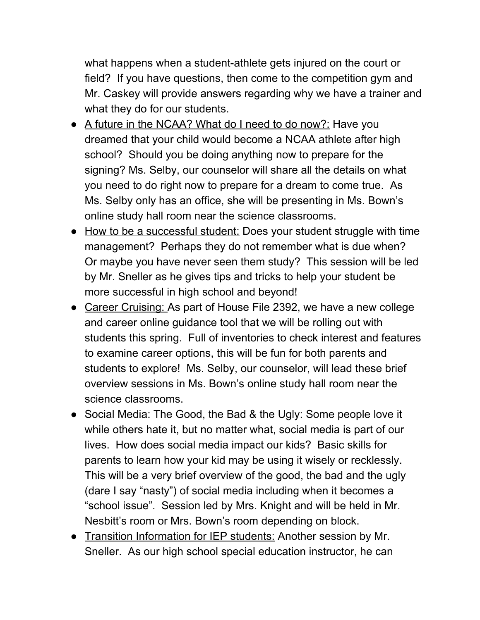what happens when a student-athlete gets injured on the court or field? If you have questions, then come to the competition gym and Mr. Caskey will provide answers regarding why we have a trainer and what they do for our students.

- A future in the NCAA? What do I need to do now?: Have you dreamed that your child would become a NCAA athlete after high school? Should you be doing anything now to prepare for the signing? Ms. Selby, our counselor will share all the details on what you need to do right now to prepare for a dream to come true. As Ms. Selby only has an office, she will be presenting in Ms. Bown's online study hall room near the science classrooms.
- How to be a successful student: Does your student struggle with time management? Perhaps they do not remember what is due when? Or maybe you have never seen them study? This session will be led by Mr. Sneller as he gives tips and tricks to help your student be more successful in high school and beyond!
- Career Cruising: As part of House File 2392, we have a new college and career online guidance tool that we will be rolling out with students this spring. Full of inventories to check interest and features to examine career options, this will be fun for both parents and students to explore! Ms. Selby, our counselor, will lead these brief overview sessions in Ms. Bown's online study hall room near the science classrooms.
- Social Media: The Good, the Bad & the Ugly: Some people love it while others hate it, but no matter what, social media is part of our lives. How does social media impact our kids? Basic skills for parents to learn how your kid may be using it wisely or recklessly. This will be a very brief overview of the good, the bad and the ugly (dare I say "nasty") of social media including when it becomes a "school issue". Session led by Mrs. Knight and will be held in Mr. Nesbitt's room or Mrs. Bown's room depending on block.
- Transition Information for IEP students: Another session by Mr. Sneller. As our high school special education instructor, he can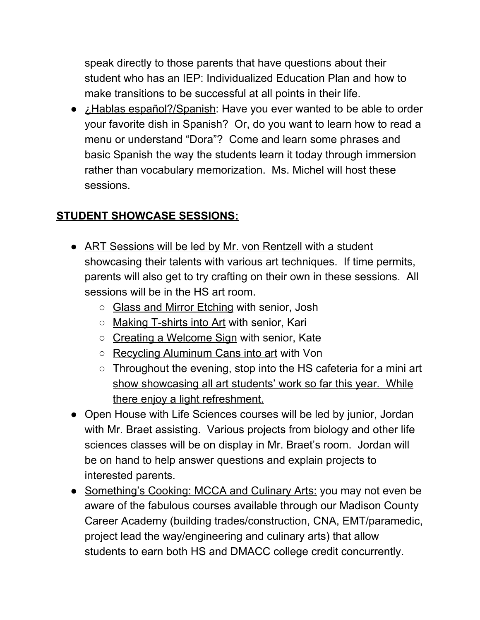speak directly to those parents that have questions about their student who has an IEP: Individualized Education Plan and how to make transitions to be successful at all points in their life.

• *i*. Hablas español?/Spanish: Have you ever wanted to be able to order your favorite dish in Spanish? Or, do you want to learn how to read a menu or understand "Dora"? Come and learn some phrases and basic Spanish the way the students learn it today through immersion rather than vocabulary memorization. Ms. Michel will host these sessions.

#### **STUDENT SHOWCASE SESSIONS:**

- ART Sessions will be led by Mr. von Rentzell with a student showcasing their talents with various art techniques. If time permits, parents will also get to try crafting on their own in these sessions. All sessions will be in the HS art room.
	- Glass and Mirror Etching with senior, Josh
	- Making T-shirts into Art with senior, Kari
	- Creating a Welcome Sign with senior, Kate
	- Recycling Aluminum Cans into art with Von
	- Throughout the evening, stop into the HS cafeteria for a mini art show showcasing all art students' work so far this year. While there enjoy a light refreshment.
- Open House with Life Sciences courses will be led by junior, Jordan with Mr. Braet assisting. Various projects from biology and other life sciences classes will be on display in Mr. Braet's room. Jordan will be on hand to help answer questions and explain projects to interested parents.
- Something's Cooking: MCCA and Culinary Arts: you may not even be aware of the fabulous courses available through our Madison County Career Academy (building trades/construction, CNA, EMT/paramedic, project lead the way/engineering and culinary arts) that allow students to earn both HS and DMACC college credit concurrently.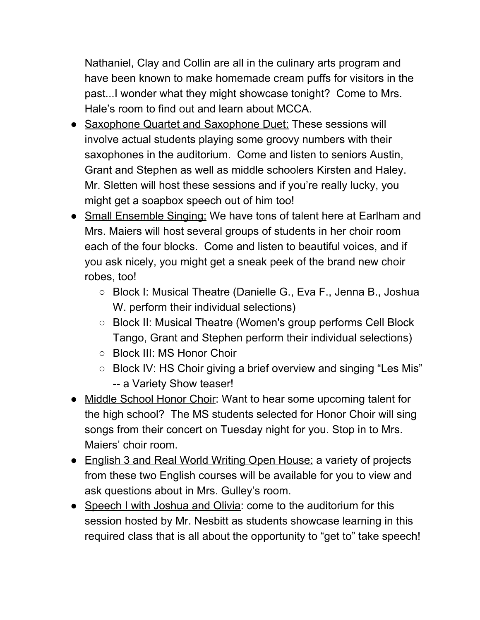Nathaniel, Clay and Collin are all in the culinary arts program and have been known to make homemade cream puffs for visitors in the past...I wonder what they might showcase tonight? Come to Mrs. Hale's room to find out and learn about MCCA.

- Saxophone Quartet and Saxophone Duet: These sessions will involve actual students playing some groovy numbers with their saxophones in the auditorium. Come and listen to seniors Austin, Grant and Stephen as well as middle schoolers Kirsten and Haley. Mr. Sletten will host these sessions and if you're really lucky, you might get a soapbox speech out of him too!
- Small Ensemble Singing: We have tons of talent here at Earlham and Mrs. Maiers will host several groups of students in her choir room each of the four blocks. Come and listen to beautiful voices, and if you ask nicely, you might get a sneak peek of the brand new choir robes, too!
	- Block I: Musical Theatre (Danielle G., Eva F., Jenna B., Joshua W. perform their individual selections)
	- Block II: Musical Theatre (Women's group performs Cell Block Tango, Grant and Stephen perform their individual selections)
	- Block III: MS Honor Choir
	- Block IV: HS Choir giving a brief overview and singing "Les Mis" -- a Variety Show teaser!
- Middle School Honor Choir: Want to hear some upcoming talent for the high school? The MS students selected for Honor Choir will sing songs from their concert on Tuesday night for you. Stop in to Mrs. Maiers' choir room.
- English 3 and Real World Writing Open House: a variety of projects from these two English courses will be available for you to view and ask questions about in Mrs. Gulley's room.
- Speech I with Joshua and Olivia: come to the auditorium for this session hosted by Mr. Nesbitt as students showcase learning in this required class that is all about the opportunity to "get to" take speech!